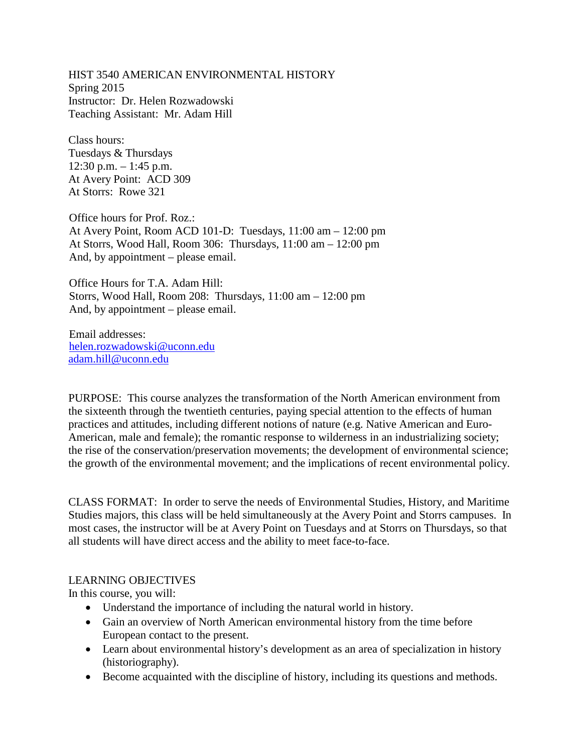HIST 3540 AMERICAN ENVIRONMENTAL HISTORY Spring 2015 Instructor: Dr. Helen Rozwadowski Teaching Assistant: Mr. Adam Hill

Class hours: Tuesdays & Thursdays  $12:30$  p.m.  $-1:45$  p.m. At Avery Point: ACD 309 At Storrs: Rowe 321

Office hours for Prof. Roz.: At Avery Point, Room ACD 101-D: Tuesdays, 11:00 am – 12:00 pm At Storrs, Wood Hall, Room 306: Thursdays, 11:00 am – 12:00 pm And, by appointment – please email.

Office Hours for T.A. Adam Hill: Storrs, Wood Hall, Room 208: Thursdays, 11:00 am – 12:00 pm And, by appointment – please email.

Email addresses: [helen.rozwadowski@uconn.edu](mailto:helen.rozwadowski@uconn.edu) [adam.hill@uconn.edu](mailto:adam.hill@uconn.edu)

PURPOSE: This course analyzes the transformation of the North American environment from the sixteenth through the twentieth centuries, paying special attention to the effects of human practices and attitudes, including different notions of nature (e.g. Native American and Euro-American, male and female); the romantic response to wilderness in an industrializing society; the rise of the conservation/preservation movements; the development of environmental science; the growth of the environmental movement; and the implications of recent environmental policy.

CLASS FORMAT: In order to serve the needs of Environmental Studies, History, and Maritime Studies majors, this class will be held simultaneously at the Avery Point and Storrs campuses. In most cases, the instructor will be at Avery Point on Tuesdays and at Storrs on Thursdays, so that all students will have direct access and the ability to meet face-to-face.

### LEARNING OBJECTIVES

In this course, you will:

- Understand the importance of including the natural world in history.
- Gain an overview of North American environmental history from the time before European contact to the present.
- Learn about environmental history's development as an area of specialization in history (historiography).
- Become acquainted with the discipline of history, including its questions and methods.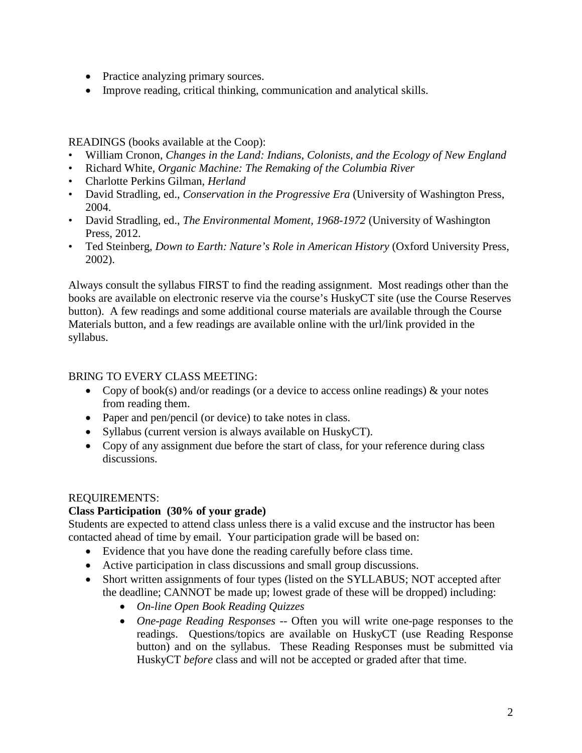- Practice analyzing primary sources.
- Improve reading, critical thinking, communication and analytical skills.

READINGS (books available at the Coop):

- William Cronon, *Changes in the Land: Indians, Colonists, and the Ecology of New England*
- Richard White, *Organic Machine: The Remaking of the Columbia River*
- Charlotte Perkins Gilman, *Herland*
- David Stradling, ed., *Conservation in the Progressive Era* (University of Washington Press, 2004.
- David Stradling, ed., *The Environmental Moment, 1968-1972* (University of Washington Press, 2012.
- Ted Steinberg, *Down to Earth: Nature's Role in American History* (Oxford University Press, 2002).

Always consult the syllabus FIRST to find the reading assignment. Most readings other than the books are available on electronic reserve via the course's HuskyCT site (use the Course Reserves button). A few readings and some additional course materials are available through the Course Materials button, and a few readings are available online with the url/link provided in the syllabus.

# BRING TO EVERY CLASS MEETING:

- Copy of book(s) and/or readings (or a device to access online readings)  $\&$  your notes from reading them.
- Paper and pen/pencil (or device) to take notes in class.
- Syllabus (current version is always available on HuskyCT).
- Copy of any assignment due before the start of class, for your reference during class discussions.

## REQUIREMENTS:

## **Class Participation (30% of your grade)**

Students are expected to attend class unless there is a valid excuse and the instructor has been contacted ahead of time by email. Your participation grade will be based on:

- Evidence that you have done the reading carefully before class time.
- Active participation in class discussions and small group discussions.
- Short written assignments of four types (listed on the SYLLABUS; NOT accepted after the deadline; CANNOT be made up; lowest grade of these will be dropped) including:
	- *On-line Open Book Reading Quizzes*
	- *One-page Reading Responses --* Often you will write one-page responses to the readings. Questions/topics are available on HuskyCT (use Reading Response button) and on the syllabus. These Reading Responses must be submitted via HuskyCT *before* class and will not be accepted or graded after that time.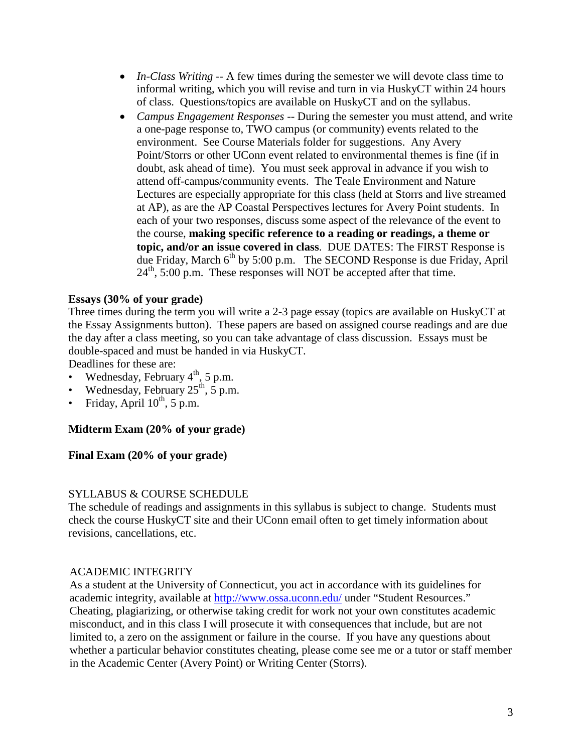- *In-Class Writing* -- A few times during the semester we will devote class time to informal writing, which you will revise and turn in via HuskyCT within 24 hours of class. Questions/topics are available on HuskyCT and on the syllabus.
- *Campus Engagement Responses --* During the semester you must attend, and write a one-page response to, TWO campus (or community) events related to the environment. See Course Materials folder for suggestions. Any Avery Point/Storrs or other UConn event related to environmental themes is fine (if in doubt, ask ahead of time). You must seek approval in advance if you wish to attend off-campus/community events. The Teale Environment and Nature Lectures are especially appropriate for this class (held at Storrs and live streamed at AP), as are the AP Coastal Perspectives lectures for Avery Point students. In each of your two responses, discuss some aspect of the relevance of the event to the course, **making specific reference to a reading or readings, a theme or topic, and/or an issue covered in class**. DUE DATES: The FIRST Response is due Friday, March  $6<sup>th</sup>$  by 5:00 p.m. The SECOND Response is due Friday, April  $24<sup>th</sup>$ , 5:00 p.m. These responses will NOT be accepted after that time.

### **Essays (30% of your grade)**

Three times during the term you will write a 2-3 page essay (topics are available on HuskyCT at the Essay Assignments button). These papers are based on assigned course readings and are due the day after a class meeting, so you can take advantage of class discussion. Essays must be double-spaced and must be handed in via HuskyCT.

Deadlines for these are:

- Wednesday, February  $4<sup>th</sup>$ , 5 p.m.
- Wednesday, February  $25^{\text{th}}$ ,  $5$  p.m.
- Friday, April  $10^{th}$ , 5 p.m.

### **Midterm Exam (20% of your grade)**

### **Final Exam (20% of your grade)**

### SYLLABUS & COURSE SCHEDULE

The schedule of readings and assignments in this syllabus is subject to change. Students must check the course HuskyCT site and their UConn email often to get timely information about revisions, cancellations, etc.

#### ACADEMIC INTEGRITY

As a student at the University of Connecticut, you act in accordance with its guidelines for academic integrity, available at<http://www.ossa.uconn.edu/> under "Student Resources." Cheating, plagiarizing, or otherwise taking credit for work not your own constitutes academic misconduct, and in this class I will prosecute it with consequences that include, but are not limited to, a zero on the assignment or failure in the course. If you have any questions about whether a particular behavior constitutes cheating, please come see me or a tutor or staff member in the Academic Center (Avery Point) or Writing Center (Storrs).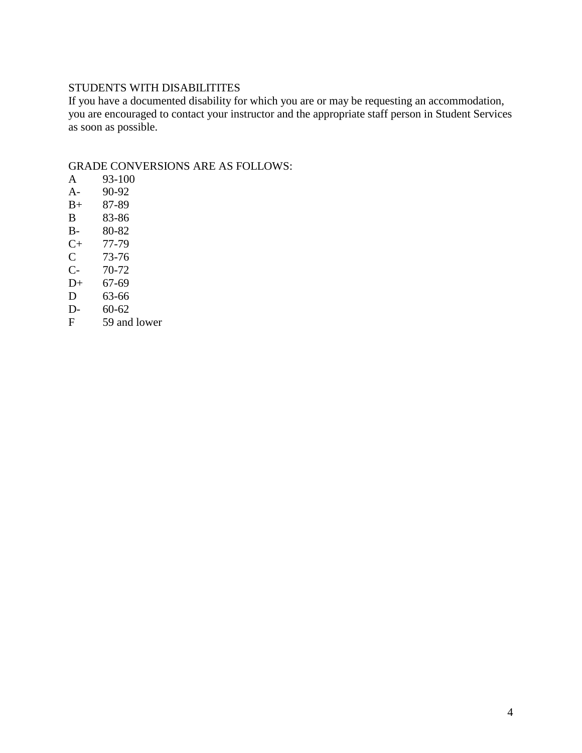## STUDENTS WITH DISABILITITES

If you have a documented disability for which you are or may be requesting an accommodation, you are encouraged to contact your instructor and the appropriate staff person in Student Services as soon as possible.

# GRADE CONVERSIONS ARE AS FOLLOWS:

- A 93-100
- A- 90-92<br>B+ 87-89
- 87-89
- 
- B 83-86<br>B- 80-82 80-82
- $C+ 77-79$ <br>C 73-76
- $\begin{array}{cc} C & 73-76 \\ C & 70-72 \end{array}$
- $C- 70-72$ <br>D+ 67-69
- $D+ 67-69$ <br>D 63-66
- 
- D 63-66<br>D- 60-62
- D- 60-62<br>F 59 and 59 and lower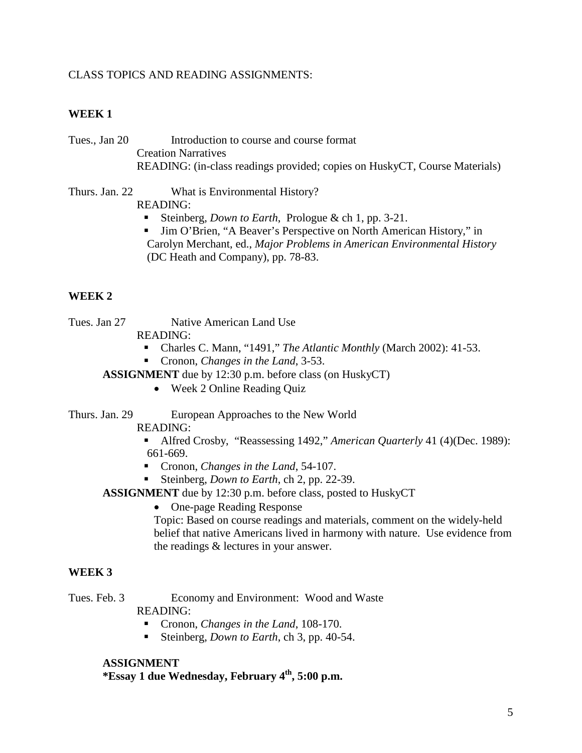### CLASS TOPICS AND READING ASSIGNMENTS:

#### **WEEK 1**

Tues., Jan 20 Introduction to course and course format Creation Narratives READING: (in-class readings provided; copies on HuskyCT, Course Materials)

Thurs. Jan. 22 What is Environmental History? READING:

- Steinberg, *Down to Earth*, Prologue & ch 1, pp. 3-21.
- Jim O'Brien, "A Beaver's Perspective on North American History," in Carolyn Merchant, ed., *Major Problems in American Environmental History* (DC Heath and Company), pp. 78-83.

#### **WEEK 2**

Tues. Jan 27 Native American Land Use

READING:

- Charles C. Mann, "1491," *The Atlantic Monthly* (March 2002): 41-53.
- Cronon, *Changes in the Land*, 3-53.

**ASSIGNMENT** due by 12:30 p.m. before class (on HuskyCT)

• Week 2 Online Reading Quiz

Thurs. Jan. 29 European Approaches to the New World

READING:

- Alfred Crosby, "Reassessing 1492," *American Quarterly* 41 (4)(Dec. 1989): 661-669.
- Cronon, *Changes in the Land*, 54-107.
- Steinberg, *Down to Earth*, ch 2, pp. 22-39.

**ASSIGNMENT** due by 12:30 p.m. before class, posted to HuskyCT

• One-page Reading Response

Topic: Based on course readings and materials, comment on the widely-held belief that native Americans lived in harmony with nature. Use evidence from the readings & lectures in your answer.

### **WEEK 3**

Tues. Feb. 3 Economy and Environment: Wood and Waste READING:

- Cronon, *Changes in the Land*, 108-170.
- Steinberg, *Down to Earth*, ch 3, pp. 40-54.

### **ASSIGNMENT**

**\*Essay 1 due Wednesday, February 4th, 5:00 p.m.**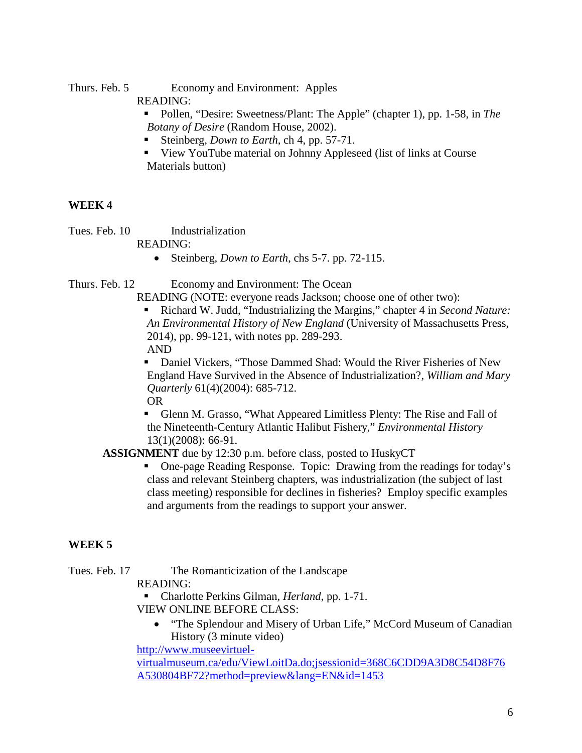Thurs. Feb. 5 Economy and Environment: Apples

READING:

 Pollen, "Desire: Sweetness/Plant: The Apple" (chapter 1), pp. 1-58, in *The Botany of Desire* (Random House, 2002).

- Steinberg, *Down to Earth*, ch 4, pp. 57-71.
- View YouTube material on Johnny Appleseed (list of links at Course Materials button)

# **WEEK 4**

Tues. Feb. 10 Industrialization

READING:

• Steinberg, *Down to Earth*, chs 5-7. pp. 72-115.

Thurs. Feb. 12 Economy and Environment: The Ocean

READING (NOTE: everyone reads Jackson; choose one of other two):

 Richard W. Judd, "Industrializing the Margins," chapter 4 in *Second Nature: An Environmental History of New England* (University of Massachusetts Press, 2014), pp. 99-121, with notes pp. 289-293. AND

 Daniel Vickers, "Those Dammed Shad: Would the River Fisheries of New England Have Survived in the Absence of Industrialization?, *William and Mary Quarterly* 61(4)(2004): 685-712.

OR

 Glenn M. Grasso, "What Appeared Limitless Plenty: The Rise and Fall of the Nineteenth-Century Atlantic Halibut Fishery," *Environmental History* 13(1)(2008): 66-91.

**ASSIGNMENT** due by 12:30 p.m. before class, posted to HuskyCT

 One-page Reading Response. Topic: Drawing from the readings for today's class and relevant Steinberg chapters, was industrialization (the subject of last class meeting) responsible for declines in fisheries? Employ specific examples and arguments from the readings to support your answer.

# **WEEK 5**

Tues. Feb. 17 The Romanticization of the Landscape

READING:

Charlotte Perkins Gilman, *Herland*, pp. 1-71.

VIEW ONLINE BEFORE CLASS:

• "The Splendour and Misery of Urban Life," McCord Museum of Canadian History (3 minute video)

[http://www.museevirtuel-](http://www.museevirtuel-virtualmuseum.ca/edu/ViewLoitDa.do;jsessionid=368C6CDD9A3D8C54D8F76A530804BF72?method=preview&lang=EN&id=1453)

[virtualmuseum.ca/edu/ViewLoitDa.do;jsessionid=368C6CDD9A3D8C54D8F76](http://www.museevirtuel-virtualmuseum.ca/edu/ViewLoitDa.do;jsessionid=368C6CDD9A3D8C54D8F76A530804BF72?method=preview&lang=EN&id=1453) [A530804BF72?method=preview&lang=EN&id=1453](http://www.museevirtuel-virtualmuseum.ca/edu/ViewLoitDa.do;jsessionid=368C6CDD9A3D8C54D8F76A530804BF72?method=preview&lang=EN&id=1453)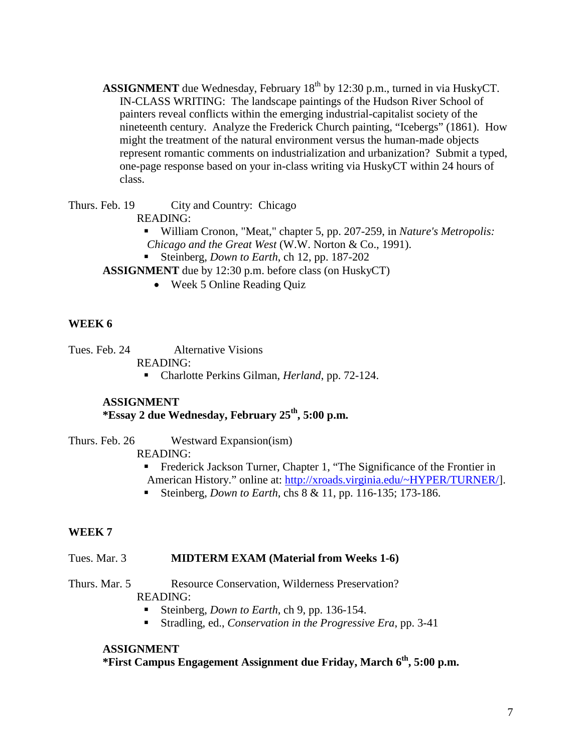**ASSIGNMENT** due Wednesday, February 18<sup>th</sup> by 12:30 p.m., turned in via HuskyCT. IN-CLASS WRITING: The landscape paintings of the Hudson River School of painters reveal conflicts within the emerging industrial-capitalist society of the nineteenth century. Analyze the Frederick Church painting, "Icebergs" (1861). How might the treatment of the natural environment versus the human-made objects represent romantic comments on industrialization and urbanization? Submit a typed, one-page response based on your in-class writing via HuskyCT within 24 hours of class.

Thurs. Feb. 19 City and Country: Chicago

READING:

- William Cronon, "Meat," chapter 5, pp. 207-259, in *Nature's Metropolis: Chicago and the Great West* (W.W. Norton & Co., 1991).
- Steinberg, *Down to Earth*, ch 12, pp. 187-202

**ASSIGNMENT** due by 12:30 p.m. before class (on HuskyCT)

• Week 5 Online Reading Ouiz

## **WEEK 6**

Tues. Feb. 24 Alternative Visions READING:

Charlotte Perkins Gilman, *Herland*, pp. 72-124.

#### **ASSIGNMENT \*Essay 2 due Wednesday, February 25th, 5:00 p.m.**

Thurs. Feb. 26 Westward Expansion(ism)

READING:

 Frederick Jackson Turner, Chapter 1, "The Significance of the Frontier in American History." online at: [http://xroads.virginia.edu/~HYPER/TURNER/\]](http://xroads.virginia.edu/~HYPER/TURNER/).

Steinberg, *Down to Earth*, chs 8 & 11, pp. 116-135; 173-186.

### **WEEK 7**

### Tues. Mar. 3 **MIDTERM EXAM (Material from Weeks 1-6)**

Thurs. Mar. 5 Resource Conservation, Wilderness Preservation?

## READING:

- Steinberg, *Down to Earth*, ch 9, pp. 136-154.
- Stradling, ed., *Conservation in the Progressive Era*, pp. 3-41

## **ASSIGNMENT**

**\*First Campus Engagement Assignment due Friday, March 6th, 5:00 p.m.**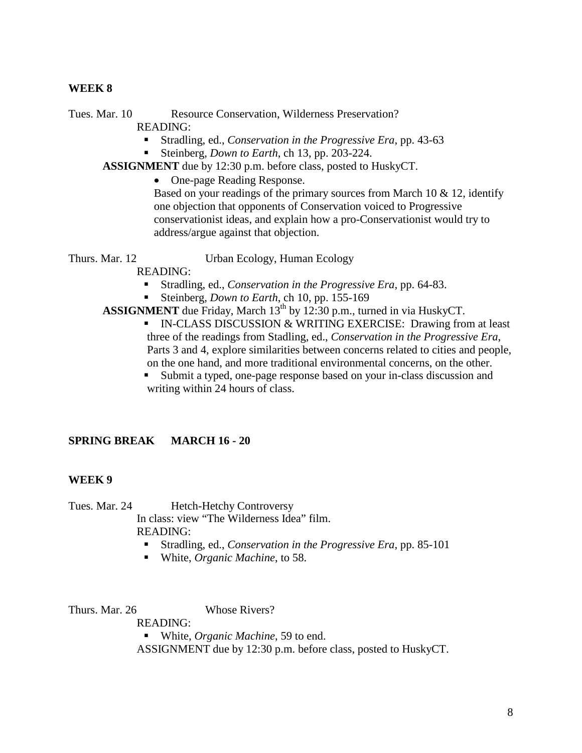#### **WEEK 8**

Tues. Mar. 10 Resource Conservation, Wilderness Preservation? READING:

- Stradling, ed., *Conservation in the Progressive Era*, pp. 43-63
- Steinberg, *Down to Earth*, ch 13, pp. 203-224.

**ASSIGNMENT** due by 12:30 p.m. before class, posted to HuskyCT.

• One-page Reading Response.

Based on your readings of the primary sources from March 10  $\&$  12, identify one objection that opponents of Conservation voiced to Progressive conservationist ideas, and explain how a pro-Conservationist would try to address/argue against that objection.

Thurs. Mar. 12 Urban Ecology, Human Ecology

READING:

- Stradling, ed., *Conservation in the Progressive Era*, pp. 64-83.
- Steinberg, *Down to Earth*, ch 10, pp. 155-169
- **ASSIGNMENT** due Friday, March 13<sup>th</sup> by 12:30 p.m., turned in via HuskyCT. **IN-CLASS DISCUSSION & WRITING EXERCISE: Drawing from at least** three of the readings from Stadling, ed., *Conservation in the Progressive Era*, Parts 3 and 4, explore similarities between concerns related to cities and people, on the one hand, and more traditional environmental concerns, on the other.
	- Submit a typed, one-page response based on your in-class discussion and writing within 24 hours of class.

## **SPRING BREAK MARCH 16 - 20**

### **WEEK 9**

Tues. Mar. 24 Hetch-Hetchy Controversy In class: view "The Wilderness Idea" film. READING:

- Stradling, ed., *Conservation in the Progressive Era*, pp. 85-101
- White, *Organic Machine*, to 58.

Thurs. Mar. 26 Whose Rivers?

READING:

■ White, *Organic Machine*, 59 to end.

ASSIGNMENT due by 12:30 p.m. before class, posted to HuskyCT.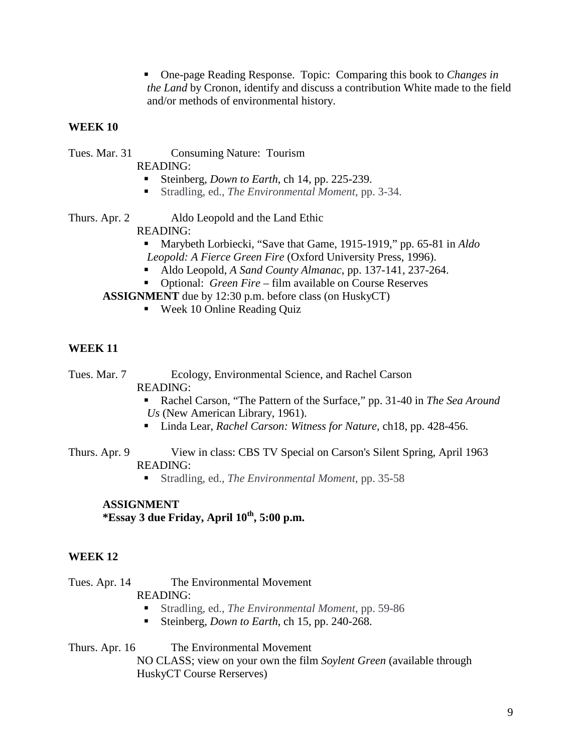One-page Reading Response. Topic: Comparing this book to *Changes in the Land* by Cronon, identify and discuss a contribution White made to the field and/or methods of environmental history.

## **WEEK 10**

| Tues. Mar. 31 | <b>Consuming Nature: Tourism</b>                              |  |
|---------------|---------------------------------------------------------------|--|
|               | READING:                                                      |  |
|               | Steinberg, <i>Down to Earth</i> , ch 14, pp. 225-239.         |  |
|               | ■ Stradling, ed., <i>The Environmental Moment</i> , pp. 3-34. |  |
|               |                                                               |  |

Thurs. Apr. 2 Aldo Leopold and the Land Ethic READING:

- Marybeth Lorbiecki, "Save that Game, 1915-1919," pp. 65-81 in *Aldo Leopold: A Fierce Green Fire* (Oxford University Press, 1996).
- Aldo Leopold, *A Sand County Almanac*, pp. 137-141, 237-264.
- Optional: *Green Fire* film available on Course Reserves

**ASSIGNMENT** due by 12:30 p.m. before class (on HuskyCT)

■ Week 10 Online Reading Quiz

## **WEEK 11**

Tues. Mar. 7 Ecology, Environmental Science, and Rachel Carson READING:

- Rachel Carson, "The Pattern of the Surface," pp. 31-40 in *The Sea Around Us* (New American Library, 1961).
- Linda Lear, *Rachel Carson: Witness for Nature*, ch18, pp. 428-456.
- Thurs. Apr. 9 View in class: CBS TV Special on Carson's Silent Spring, April 1963 READING:
	- Stradling, ed., *The Environmental Moment*, pp. 35-58

# **ASSIGNMENT \*Essay 3 due Friday, April 10th, 5:00 p.m.**

### **WEEK 12**

Tues. Apr. 14 The Environmental Movement

## READING:

- Stradling, ed., *The Environmental Moment*, pp. 59-86
- Steinberg, *Down to Earth*, ch 15, pp. 240-268.

Thurs. Apr. 16 The Environmental Movement NO CLASS; view on your own the film *Soylent Green* (available through HuskyCT Course Rerserves)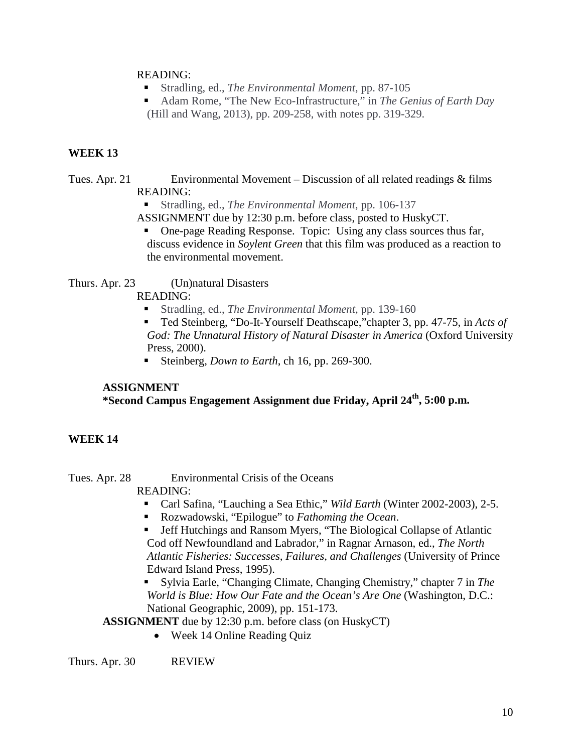### READING:

- Stradling, ed., *The Environmental Moment*, pp. 87-105
- Adam Rome, "The New Eco-Infrastructure," in *The Genius of Earth Day* (Hill and Wang, 2013), pp. 209-258, with notes pp. 319-329.

### **WEEK 13**

### Tues. Apr. 21 Environmental Movement – Discussion of all related readings & films READING:

Stradling, ed., *The Environmental Moment*, pp. 106-137

ASSIGNMENT due by 12:30 p.m. before class, posted to HuskyCT.

 One-page Reading Response. Topic: Using any class sources thus far, discuss evidence in *Soylent Green* that this film was produced as a reaction to the environmental movement.

Thurs. Apr. 23 (Un)natural Disasters

READING:

- Stradling, ed., *The Environmental Moment*, pp. 139-160
- Ted Steinberg, "Do-It-Yourself Deathscape,"chapter 3, pp. 47-75, in *Acts of God: The Unnatural History of Natural Disaster in America* (Oxford University Press, 2000).
- Steinberg, *Down to Earth*, ch 16, pp. 269-300.

### **ASSIGNMENT**

## **\*Second Campus Engagement Assignment due Friday, April 24th, 5:00 p.m.**

### **WEEK 14**

Tues. Apr. 28 Environmental Crisis of the Oceans

READING:

- Carl Safina, "Lauching a Sea Ethic," *Wild Earth* (Winter 2002-2003), 2-5.
- Rozwadowski, "Epilogue" to *Fathoming the Ocean*.
- Jeff Hutchings and Ransom Myers, "The Biological Collapse of Atlantic Cod off Newfoundland and Labrador," in Ragnar Arnason, ed., *The North Atlantic Fisheries: Successes, Failures, and Challenges* (University of Prince Edward Island Press, 1995).
- Sylvia Earle, "Changing Climate, Changing Chemistry," chapter 7 in *The World is Blue: How Our Fate and the Ocean's Are One* (Washington, D.C.: National Geographic, 2009), pp. 151-173.

**ASSIGNMENT** due by 12:30 p.m. before class (on HuskyCT)

• Week 14 Online Reading Quiz

Thurs. Apr. 30 REVIEW